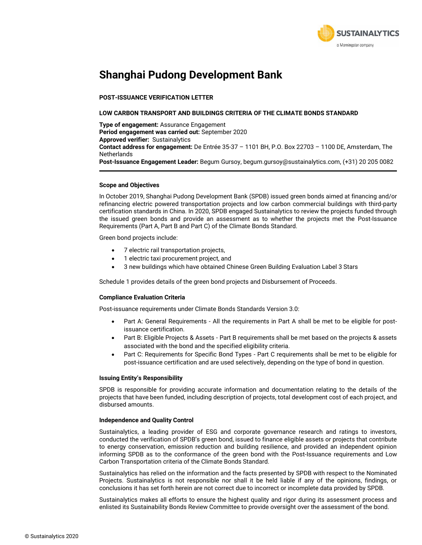

## **Shanghai Pudong Development Bank**

### **POST-ISSUANCE VERIFICATION LETTER**

#### **LOW CARBON TRANSPORT AND BUILDINGS CRITERIA OF THE CLIMATE BONDS STANDARD**

**Type of engagement:** Assurance Engagement **Period engagement was carried out:** September 2020 **Approved verifier:** Sustainalytics **Contact address for engagement:** De Entrée 35-37 – 1101 BH, P.O. Box 22703 – 1100 DE, Amsterdam, The **Netherlands Post-Issuance Engagement Leader:** Begum Gursoy, begum.gursoy@sustainalytics.com, (+31) 20 205 0082

#### **Scope and Objectives**

In October 2019, Shanghai Pudong Development Bank (SPDB) issued green bonds aimed at financing and/or refinancing electric powered transportation projects and low carbon commercial buildings with third-party certification standards in China. In 2020, SPDB engaged Sustainalytics to review the projects funded through the issued green bonds and provide an assessment as to whether the projects met the Post-Issuance Requirements (Part A, Part B and Part C) of the Climate Bonds Standard.

Green bond projects include:

- 7 electric rail transportation projects,
- 1 electric taxi procurement project, and
- 3 new buildings which have obtained Chinese Green Building Evaluation Label 3 Stars

Schedule 1 provides details of the green bond projects and Disbursement of Proceeds.

#### **Compliance Evaluation Criteria**

Post-issuance requirements under Climate Bonds Standards Version 3.0:

- Part A: General Requirements All the requirements in Part A shall be met to be eligible for postissuance certification.
- Part B: Eligible Projects & Assets Part B requirements shall be met based on the projects & assets associated with the bond and the specified eligibility criteria.
- Part C: Requirements for Specific Bond Types Part C requirements shall be met to be eligible for post-issuance certification and are used selectively, depending on the type of bond in question.

#### **Issuing Entity's Responsibility**

SPDB is responsible for providing accurate information and documentation relating to the details of the projects that have been funded, including description of projects, total development cost of each project, and disbursed amounts.

#### **Independence and Quality Control**

Sustainalytics, a leading provider of ESG and corporate governance research and ratings to investors, conducted the verification of SPDB's green bond, issued to finance eligible assets or projects that contribute to energy conservation, emission reduction and building resilience, and provided an independent opinion informing SPDB as to the conformance of the green bond with the Post-Issuance requirements and Low Carbon Transportation criteria of the Climate Bonds Standard.

Sustainalytics has relied on the information and the facts presented by SPDB with respect to the Nominated Projects. Sustainalytics is not responsible nor shall it be held liable if any of the opinions, findings, or conclusions it has set forth herein are not correct due to incorrect or incomplete data provided by SPDB.

Sustainalytics makes all efforts to ensure the highest quality and rigor during its assessment process and enlisted its Sustainability Bonds Review Committee to provide oversight over the assessment of the bond.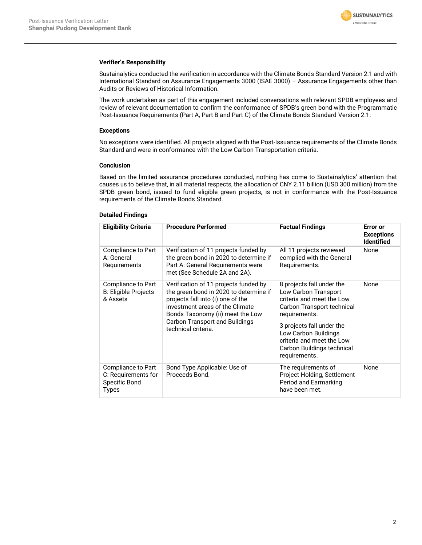

#### **Verifier's Responsibility**

Sustainalytics conducted the verification in accordance with the Climate Bonds Standard Version 2.1 and with International Standard on Assurance Engagements 3000 (ISAE 3000) – Assurance Engagements other than Audits or Reviews of Historical Information.

The work undertaken as part of this engagement included conversations with relevant SPDB employees and review of relevant documentation to confirm the conformance of SPDB's green bond with the Programmatic Post-Issuance Requirements (Part A, Part B and Part C) of the Climate Bonds Standard Version 2.1.

## **Exceptions**

No exceptions were identified. All projects aligned with the Post-Issuance requirements of the Climate Bonds Standard and were in conformance with the Low Carbon Transportation criteria.

#### **Conclusion**

Based on the limited assurance procedures conducted, nothing has come to Sustainalytics' attention that causes us to believe that, in all material respects, the allocation of CNY 2.11 billion (USD 300 million) from the SPDB green bond, issued to fund eligible green projects, is not in conformance with the Post-Issuance requirements of the Climate Bonds Standard.

## **Detailed Findings**

| <b>Eligibility Criteria</b>                                         | <b>Procedure Performed</b>                                                                                                                                                                                                                                  | <b>Factual Findings</b>                                                                                                                                                                                                                                        | <b>Error</b> or<br><b>Exceptions</b><br><b>Identified</b> |
|---------------------------------------------------------------------|-------------------------------------------------------------------------------------------------------------------------------------------------------------------------------------------------------------------------------------------------------------|----------------------------------------------------------------------------------------------------------------------------------------------------------------------------------------------------------------------------------------------------------------|-----------------------------------------------------------|
| Compliance to Part<br>A: General<br>Requirements                    | Verification of 11 projects funded by<br>the green bond in 2020 to determine if<br>Part A: General Requirements were<br>met (See Schedule 2A and 2A).                                                                                                       | All 11 projects reviewed<br>complied with the General<br>Requirements.                                                                                                                                                                                         | None                                                      |
| Compliance to Part<br><b>B: Eligible Projects</b><br>& Assets       | Verification of 11 projects funded by<br>the green bond in 2020 to determine if<br>projects fall into (i) one of the<br>investment areas of the Climate<br>Bonds Taxonomy (ii) meet the Low<br><b>Carbon Transport and Buildings</b><br>technical criteria. | 8 projects fall under the<br>Low Carbon Transport<br>criteria and meet the Low<br>Carbon Transport technical<br>requirements.<br>3 projects fall under the<br>Low Carbon Buildings<br>criteria and meet the Low<br>Carbon Buildings technical<br>requirements. | None                                                      |
| Compliance to Part<br>C: Requirements for<br>Specific Bond<br>Types | Bond Type Applicable: Use of<br>Proceeds Bond.                                                                                                                                                                                                              | The requirements of<br>Project Holding, Settlement<br>Period and Earmarking<br>have been met.                                                                                                                                                                  | None                                                      |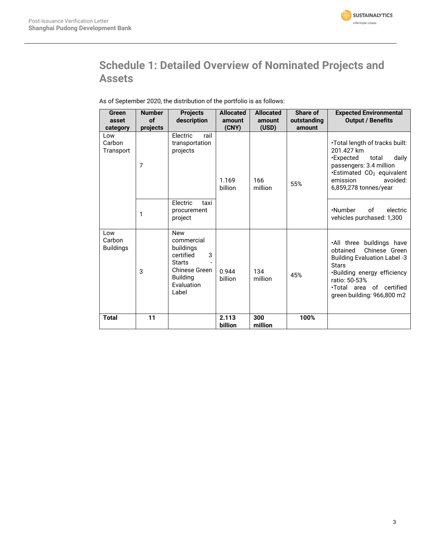

# **Schedule 1: Detailed Overview of Nominated Projects and Assets**

|  | As of September 2020, the distribution of the portfolio is as follows: |
|--|------------------------------------------------------------------------|
|--|------------------------------------------------------------------------|

| Green<br>asset                         | <b>Number</b><br>of | <b>Projects</b><br>description                                                                                                             | <b>Allocated</b><br>amount | <b>Allocated</b><br>amount | Share of<br>outstanding | <b>Expected Environmental</b><br><b>Output / Benefits</b>                                                                                                                                                                |
|----------------------------------------|---------------------|--------------------------------------------------------------------------------------------------------------------------------------------|----------------------------|----------------------------|-------------------------|--------------------------------------------------------------------------------------------------------------------------------------------------------------------------------------------------------------------------|
| category<br>Low<br>Carbon<br>Transport | projects<br>7       | Electric<br>rail<br>transportation<br>projects                                                                                             | (CNY)<br>1.169<br>billion  | (USD)<br>166<br>million    | amount<br>55%           | .Total length of tracks built:<br>201.427 km<br><b>Expected</b><br>total<br>daily<br>passengers: 3.4 million<br><b>Estimated CO<sub>2</sub></b> equivalent<br>avoided:<br>emission<br>$6,859,278$ tonnes/year            |
|                                        | 1                   | Electric<br>taxi<br>procurement<br>project                                                                                                 |                            |                            |                         | .Number<br>of<br>electric<br>vehicles purchased: 1,300                                                                                                                                                                   |
| Low<br>Carbon<br><b>Buildings</b>      | 3                   | <b>New</b><br>commercial<br>buildings<br>3<br>certified<br><b>Starts</b><br><b>Chinese Green</b><br><b>Building</b><br>Evaluation<br>Label | 0.944<br>billion           | 134<br>million             | 45%                     | .All three buildings have<br>Chinese Green<br>obtained<br><b>Building Evaluation Label -3</b><br><b>Stars</b><br>·Building energy efficiency<br>ratio: 50-53%<br>. Total area of certified<br>green building: 966,800 m2 |
| <b>Total</b>                           | 11                  |                                                                                                                                            | 2.113<br>billion           | 300<br>million             | 100%                    |                                                                                                                                                                                                                          |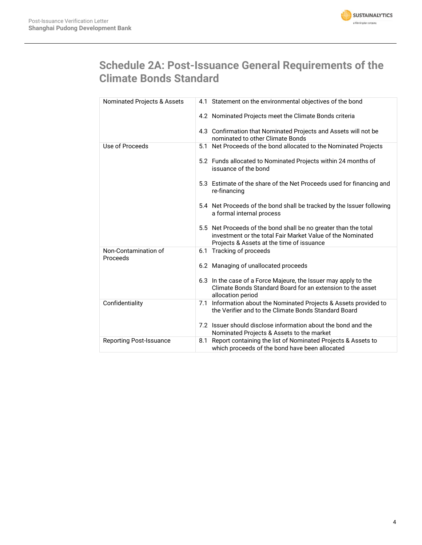

# **Schedule 2A: Post-Issuance General Requirements of the Climate Bonds Standard**

| Nominated Projects & Assets      | 4.1 Statement on the environmental objectives of the bond                                                                                                                  |
|----------------------------------|----------------------------------------------------------------------------------------------------------------------------------------------------------------------------|
|                                  | 4.2 Nominated Projects meet the Climate Bonds criteria                                                                                                                     |
|                                  | 4.3 Confirmation that Nominated Projects and Assets will not be<br>nominated to other Climate Bonds                                                                        |
| Use of Proceeds                  | 5.1 Net Proceeds of the bond allocated to the Nominated Projects                                                                                                           |
|                                  | 5.2 Funds allocated to Nominated Projects within 24 months of<br>issuance of the bond                                                                                      |
|                                  | 5.3 Estimate of the share of the Net Proceeds used for financing and<br>re-financing                                                                                       |
|                                  | 5.4 Net Proceeds of the bond shall be tracked by the Issuer following<br>a formal internal process                                                                         |
|                                  | 5.5 Net Proceeds of the bond shall be no greater than the total<br>investment or the total Fair Market Value of the Nominated<br>Projects & Assets at the time of issuance |
| Non-Contamination of<br>Proceeds | 6.1 Tracking of proceeds                                                                                                                                                   |
|                                  | 6.2 Managing of unallocated proceeds                                                                                                                                       |
|                                  | 6.3 In the case of a Force Majeure, the Issuer may apply to the<br>Climate Bonds Standard Board for an extension to the asset<br>allocation period                         |
| Confidentiality                  | 7.1 Information about the Nominated Projects & Assets provided to<br>the Verifier and to the Climate Bonds Standard Board                                                  |
|                                  | 7.2 Issuer should disclose information about the bond and the<br>Nominated Projects & Assets to the market                                                                 |
| <b>Reporting Post-Issuance</b>   | 8.1 Report containing the list of Nominated Projects & Assets to<br>which proceeds of the bond have been allocated                                                         |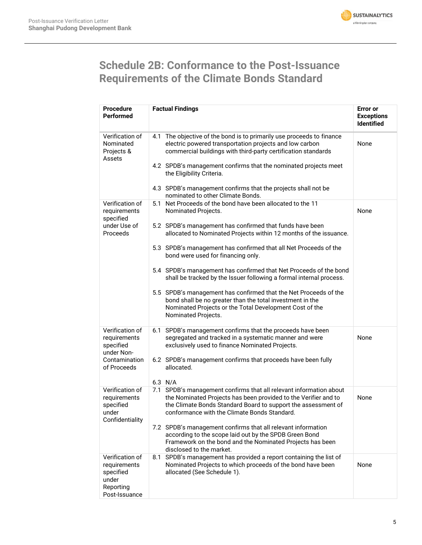

# **Schedule 2B: Conformance to the Post-Issuance Requirements of the Climate Bonds Standard**

| <b>Procedure</b><br>Performed                                                       | <b>Factual Findings</b>                                                                                                                                                                                                                                | <b>Error</b> or<br><b>Exceptions</b><br><b>Identified</b> |
|-------------------------------------------------------------------------------------|--------------------------------------------------------------------------------------------------------------------------------------------------------------------------------------------------------------------------------------------------------|-----------------------------------------------------------|
| Verification of<br>Nominated<br>Projects &<br>Assets                                | The objective of the bond is to primarily use proceeds to finance<br>4.1<br>electric powered transportation projects and low carbon<br>commercial buildings with third-party certification standards                                                   | None                                                      |
|                                                                                     | 4.2 SPDB's management confirms that the nominated projects meet<br>the Eligibility Criteria.                                                                                                                                                           |                                                           |
|                                                                                     | 4.3 SPDB's management confirms that the projects shall not be<br>nominated to other Climate Bonds.                                                                                                                                                     |                                                           |
| Verification of<br>requirements<br>specified                                        | 5.1 Net Proceeds of the bond have been allocated to the 11<br>Nominated Projects.                                                                                                                                                                      | None                                                      |
| under Use of<br>Proceeds                                                            | 5.2 SPDB's management has confirmed that funds have been<br>allocated to Nominated Projects within 12 months of the issuance.                                                                                                                          |                                                           |
|                                                                                     | 5.3 SPDB's management has confirmed that all Net Proceeds of the<br>bond were used for financing only.                                                                                                                                                 |                                                           |
|                                                                                     | 5.4 SPDB's management has confirmed that Net Proceeds of the bond<br>shall be tracked by the Issuer following a formal internal process.                                                                                                               |                                                           |
|                                                                                     | 5.5 SPDB's management has confirmed that the Net Proceeds of the<br>bond shall be no greater than the total investment in the<br>Nominated Projects or the Total Development Cost of the<br>Nominated Projects.                                        |                                                           |
| Verification of<br>requirements<br>specified<br>under Non-                          | SPDB's management confirms that the proceeds have been<br>6.1<br>segregated and tracked in a systematic manner and were<br>exclusively used to finance Nominated Projects.                                                                             | None                                                      |
| Contamination<br>of Proceeds                                                        | 6.2 SPDB's management confirms that proceeds have been fully<br>allocated.                                                                                                                                                                             |                                                           |
|                                                                                     | 6.3 N/A                                                                                                                                                                                                                                                |                                                           |
| Verification of<br>requirements<br>specified<br>under<br>Confidentiality            | 7.1 SPDB's management confirms that all relevant information about<br>the Nominated Projects has been provided to the Verifier and to<br>the Climate Bonds Standard Board to support the assessment of<br>conformance with the Climate Bonds Standard. | None                                                      |
|                                                                                     | 7.2 SPDB's management confirms that all relevant information<br>according to the scope laid out by the SPDB Green Bond<br>Framework on the bond and the Nominated Projects has been<br>disclosed to the market.                                        |                                                           |
| Verification of<br>requirements<br>specified<br>under<br>Reporting<br>Post-Issuance | 8.1 SPDB's management has provided a report containing the list of<br>Nominated Projects to which proceeds of the bond have been<br>allocated (See Schedule 1).                                                                                        | None                                                      |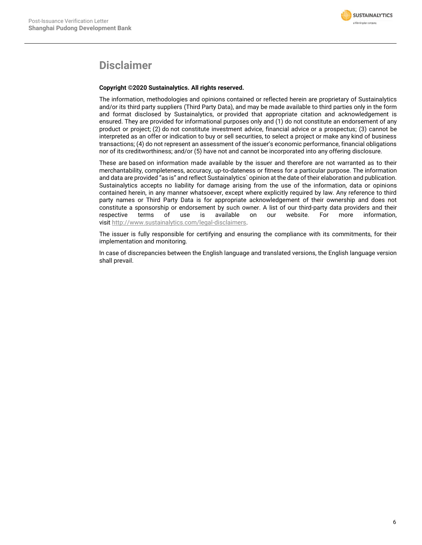

## **Disclaimer**

## **Copyright ©2020 Sustainalytics. All rights reserved.**

The information, methodologies and opinions contained or reflected herein are proprietary of Sustainalytics and/or its third party suppliers (Third Party Data), and may be made available to third parties only in the form and format disclosed by Sustainalytics, or provided that appropriate citation and acknowledgement is ensured. They are provided for informational purposes only and (1) do not constitute an endorsement of any product or project; (2) do not constitute investment advice, financial advice or a prospectus; (3) cannot be interpreted as an offer or indication to buy or sell securities, to select a project or make any kind of business transactions; (4) do not represent an assessment of the issuer's economic performance, financial obligations nor of its creditworthiness; and/or (5) have not and cannot be incorporated into any offering disclosure.

These are based on information made available by the issuer and therefore are not warranted as to their merchantability, completeness, accuracy, up-to-dateness or fitness for a particular purpose. The information and data are provided "as is" and reflect Sustainalytics` opinion at the date of their elaboration and publication. Sustainalytics accepts no liability for damage arising from the use of the information, data or opinions contained herein, in any manner whatsoever, except where explicitly required by law. Any reference to third party names or Third Party Data is for appropriate acknowledgement of their ownership and does not constitute a sponsorship or endorsement by such owner. A list of our third-party data providers and their<br>respective terms of use is available on our website. For more information, respective terms of use is available on our website. For more information, visit [http://www.sustainalytics.com/legal-disclaimers.](http://www.sustainalytics.com/legal-disclaimers)

The issuer is fully responsible for certifying and ensuring the compliance with its commitments, for their implementation and monitoring.

In case of discrepancies between the English language and translated versions, the English language version shall prevail.